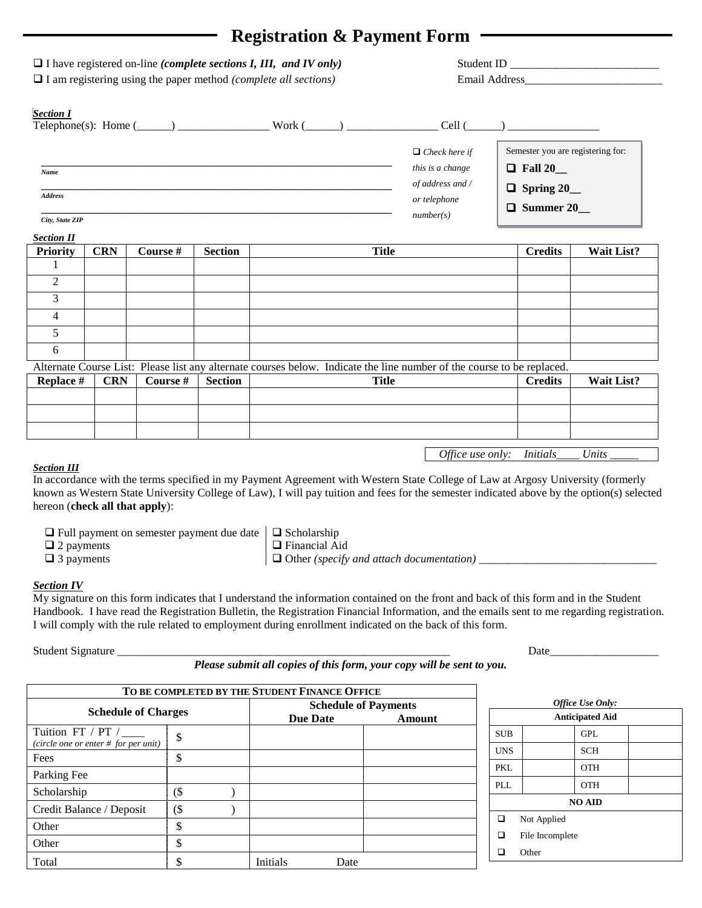## **Registration & Payment Form**

| <b>Priority</b><br>$\blacksquare$                              | <b>CRN</b> | <b>Course</b> #                                                                                                                                           | <b>Section</b> |               | <b>Title</b>                |                                                                                           | <b>Credits</b>                                                                              | Wait List? |  |
|----------------------------------------------------------------|------------|-----------------------------------------------------------------------------------------------------------------------------------------------------------|----------------|---------------|-----------------------------|-------------------------------------------------------------------------------------------|---------------------------------------------------------------------------------------------|------------|--|
| Name<br><b>Address</b><br>City, State ZIP<br><b>Section II</b> |            |                                                                                                                                                           |                |               |                             | $\Box$ Check here if<br>this is a change<br>of address and /<br>or telephone<br>number(s) | Semester you are registering for:<br>$\Box$ Fall 20<br>$\Box$ Spring 20<br>$\Box$ Summer 20 |            |  |
| <b>Section I</b>                                               |            |                                                                                                                                                           |                | $Work (\_\_)$ |                             | Cell (                                                                                    |                                                                                             |            |  |
|                                                                |            | $\Box$ I have registered on-line (complete sections I, III, and IV only)<br>$\Box$ I am registering using the paper method <i>(complete all sections)</i> |                |               | Student ID<br>Email Address |                                                                                           |                                                                                             |            |  |

| $\mathcal{D}_{\mathcal{L}}$                                                                                            |            |          |                |              |                |            |  |  |  |
|------------------------------------------------------------------------------------------------------------------------|------------|----------|----------------|--------------|----------------|------------|--|--|--|
| $\mathcal{R}$                                                                                                          |            |          |                |              |                |            |  |  |  |
| 4                                                                                                                      |            |          |                |              |                |            |  |  |  |
| 5                                                                                                                      |            |          |                |              |                |            |  |  |  |
| 6                                                                                                                      |            |          |                |              |                |            |  |  |  |
| Alternate Course List: Please list any alternate courses below. Indicate the line number of the course to be replaced. |            |          |                |              |                |            |  |  |  |
| Replace #                                                                                                              | <b>CRN</b> | Course # | <b>Section</b> | <b>Title</b> | <b>Credits</b> | Wait List? |  |  |  |
|                                                                                                                        |            |          |                |              |                |            |  |  |  |
|                                                                                                                        |            |          |                |              |                |            |  |  |  |
|                                                                                                                        |            |          |                |              |                |            |  |  |  |

### *Section III*

In accordance with the terms specified in my Payment Agreement with Western State College of Law at Argosy University (formerly known as Western State University College of Law), I will pay tuition and fees for the semester indicated above by the option(s) selected hereon (**check all that apply**):

| $\Box$ Full payment on semester payment due date $\Box$ Scholarship |  |
|---------------------------------------------------------------------|--|
|---------------------------------------------------------------------|--|

□ 2 payments <br> Financial Aid

□ 3 payments **□**  $\Box$  **□** Other *(specify and attach documentation)* 

#### *Section IV*

My signature on this form indicates that I understand the information contained on the front and back of this form and in the Student Handbook. I have read the Registration Bulletin, the Registration Financial Information, and the emails sent to me regarding registration. I will comply with the rule related to employment during enrollment indicated on the back of this form.

| Student<br>$\sim$<br>Signature<br>. | Date |
|-------------------------------------|------|
|-------------------------------------|------|

*Office use only:* Initials\_\_\_\_\_ Units

*Please submit all copies of this form, your copy will be sent to you.*

|                                                               |                           |  | TO BE COMPLETED BY THE STUDENT FINANCE OFFICE |      |                        |  |                  |                 |               |  |
|---------------------------------------------------------------|---------------------------|--|-----------------------------------------------|------|------------------------|--|------------------|-----------------|---------------|--|
| <b>Schedule of Payments</b>                                   |                           |  |                                               |      |                        |  | Office Use Only: |                 |               |  |
| <b>Schedule of Charges</b>                                    | <b>Due Date</b><br>Amount |  |                                               |      | <b>Anticipated Aid</b> |  |                  |                 |               |  |
| Tuition FT / PT $/$<br>(circle one or enter $#$ for per unit) | \$                        |  |                                               |      |                        |  | <b>SUB</b>       |                 | <b>GPL</b>    |  |
| Fees                                                          | Φ                         |  |                                               |      |                        |  | <b>UNS</b>       |                 | <b>SCH</b>    |  |
| Parking Fee                                                   |                           |  |                                               |      |                        |  | <b>PKL</b>       |                 | <b>OTH</b>    |  |
| Scholarship                                                   | (\$                       |  |                                               |      |                        |  | PLL              |                 | <b>OTH</b>    |  |
|                                                               |                           |  |                                               |      |                        |  |                  |                 | <b>NO AID</b> |  |
| Credit Balance / Deposit                                      | $($ \$                    |  |                                               |      |                        |  | ❏                | Not Applied     |               |  |
| Other                                                         |                           |  |                                               |      |                        |  |                  |                 |               |  |
| Other                                                         | Φ                         |  |                                               |      |                        |  | ❏                | File Incomplete |               |  |
| Total                                                         |                           |  | Initials                                      | Date |                        |  | ⊐                | Other           |               |  |